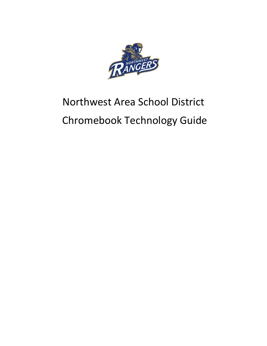

# Northwest Area School District Chromebook Technology Guide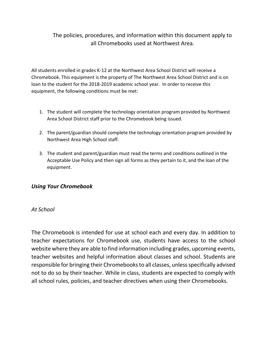# The policies, procedures, and information within this document apply to all Chromebooks used at Northwest Area.

All students enrolled in grades K-12 at the Northwest Area School District will receive a Chromebook. This equipment is the property of The Northwest Area School District and is on loan to the student for the 2018-2019 academic school year. In order to receive this equipment, the following conditions must be met:

- 1. The student will complete the technology orientation program provided by Northwest Area School District staff prior to the Chromebook being issued.
- 2. The parent/guardian should complete the technology orientation program provided by Northwest Area High School staff.
- 3. The student and parent/guardian must read the terms and conditions outlined in the Acceptable Use Policy and then sign all forms as they pertain to it, and the loan of the equipment.

### *Using Your Chromebook*

### *At School*

The Chromebook is intended for use at school each and every day. In addition to teacher expectations for Chromebook use, students have access to the school website where they are able to find information including grades, upcoming events, teacher websites and helpful information about classes and school. Students are responsible for bringing their Chromebooks to all classes, unless specifically advised not to do so by their teacher. While in class, students are expected to comply with all school rules, policies, and teacher directives when using their Chromebooks.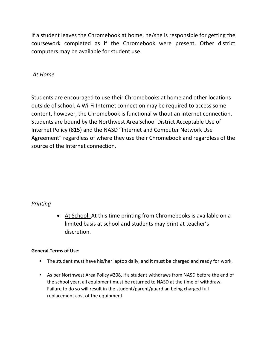If a student leaves the Chromebook at home, he/she is responsible for getting the coursework completed as if the Chromebook were present. Other district computers may be available for student use.

### *At Home*

Students are encouraged to use their Chromebooks at home and other locations outside of school. A Wi-Fi Internet connection may be required to access some content, however, the Chromebook is functional without an internet connection. Students are bound by the Northwest Area School District Acceptable Use of Internet Policy (815) and the NASD "Internet and Computer Network Use Agreement" regardless of where they use their Chromebook and regardless of the source of the Internet connection.

### *Printing*

 At School: At this time printing from Chromebooks is available on a limited basis at school and students may print at teacher's discretion.

### **General Terms of Use:**

- The student must have his/her laptop daily, and it must be charged and ready for work.
- As per Northwest Area Policy #208, if a student withdraws from NASD before the end of the school year, all equipment must be returned to NASD at the time of withdraw. Failure to do so will result in the student/parent/guardian being charged full replacement cost of the equipment.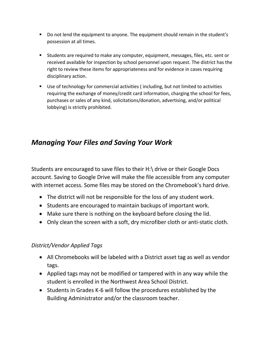- Do not lend the equipment to anyone. The equipment should remain in the student's possession at all times.
- Students are required to make any computer, equipment, messages, files, etc. sent or received available for inspection by school personnel upon request. The district has the right to review these items for appropriateness and for evidence in cases requiring disciplinary action.
- Use of technology for commercial activities (including, but not limited to activities requiring the exchange of money/credit card information, charging the school for fees, purchases or sales of any kind, solicitations/donation, advertising, and/or political lobbying) is strictly prohibited.

# *Managing Your Files and Saving Your Work*

Students are encouraged to save files to their H:\ drive or their Google Docs account. Saving to Google Drive will make the file accessible from any computer with internet access. Some files may be stored on the Chromebook's hard drive.

- The district will not be responsible for the loss of any student work.
- Students are encouraged to maintain backups of important work.
- Make sure there is nothing on the keyboard before closing the lid.
- Only clean the screen with a soft, dry microfiber cloth or anti-static cloth.

# *District/Vendor Applied Tags*

- All Chromebooks will be labeled with a District asset tag as well as vendor tags.
- Applied tags may not be modified or tampered with in any way while the student is enrolled in the Northwest Area School District.
- Students in Grades K-6 will follow the procedures established by the Building Administrator and/or the classroom teacher.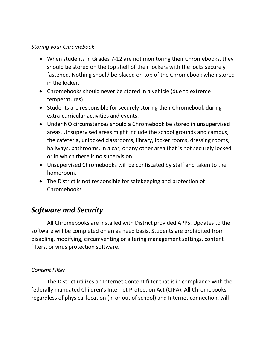# *Storing your Chromebook*

- When students in Grades 7-12 are not monitoring their Chromebooks, they should be stored on the top shelf of their lockers with the locks securely fastened. Nothing should be placed on top of the Chromebook when stored in the locker.
- Chromebooks should never be stored in a vehicle (due to extreme temperatures).
- Students are responsible for securely storing their Chromebook during extra-curricular activities and events.
- Under NO circumstances should a Chromebook be stored in unsupervised areas. Unsupervised areas might include the school grounds and campus, the cafeteria, unlocked classrooms, library, locker rooms, dressing rooms, hallways, bathrooms, in a car, or any other area that is not securely locked or in which there is no supervision.
- Unsupervised Chromebooks will be confiscated by staff and taken to the homeroom.
- The District is not responsible for safekeeping and protection of Chromebooks.

# *Software and Security*

All Chromebooks are installed with District provided APPS. Updates to the software will be completed on an as need basis. Students are prohibited from disabling, modifying, circumventing or altering management settings, content filters, or virus protection software.

# *Content Filter*

The District utilizes an Internet Content filter that is in compliance with the federally mandated Children's Internet Protection Act (CIPA). All Chromebooks, regardless of physical location (in or out of school) and Internet connection, will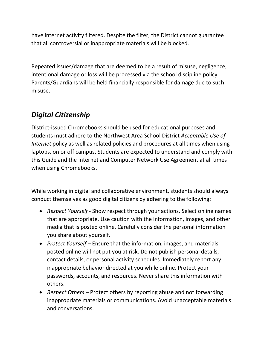have internet activity filtered. Despite the filter, the District cannot guarantee that all controversial or inappropriate materials will be blocked.

Repeated issues/damage that are deemed to be a result of misuse, negligence, intentional damage or loss will be processed via the school discipline policy. Parents/Guardians will be held financially responsible for damage due to such misuse.

# *Digital Citizenship*

District-issued Chromebooks should be used for educational purposes and students must adhere to the Northwest Area School District *Acceptable Use of Internet* policy as well as related policies and procedures at all times when using laptops, on or off campus. Students are expected to understand and comply with this Guide and the Internet and Computer Network Use Agreement at all times when using Chromebooks.

While working in digital and collaborative environment, students should always conduct themselves as good digital citizens by adhering to the following:

- *Respect Yourself* Show respect through your actions. Select online names that are appropriate. Use caution with the information, images, and other media that is posted online. Carefully consider the personal information you share about yourself.
- *Protect Yourself*  Ensure that the information, images, and materials posted online will not put you at risk. Do not publish personal details, contact details, or personal activity schedules. Immediately report any inappropriate behavior directed at you while online. Protect your passwords, accounts, and resources. Never share this information with others.
- *Respect Others*  Protect others by reporting abuse and not forwarding inappropriate materials or communications. Avoid unacceptable materials and conversations.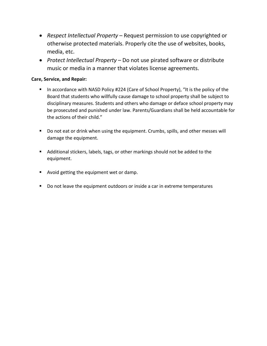- *Respect Intellectual Property*  Request permission to use copyrighted or otherwise protected materials. Properly cite the use of websites, books, media, etc.
- *Protect Intellectual Property*  Do not use pirated software or distribute music or media in a manner that violates license agreements.

#### **Care, Service, and Repair:**

- In accordance with NASD Policy #224 (Care of School Property), "It is the policy of the Board that students who willfully cause damage to school property shall be subject to disciplinary measures. Students and others who damage or deface school property may be prosecuted and punished under law. Parents/Guardians shall be held accountable for the actions of their child."
- Do not eat or drink when using the equipment. Crumbs, spills, and other messes will damage the equipment.
- Additional stickers, labels, tags, or other markings should not be added to the equipment.
- Avoid getting the equipment wet or damp.
- Do not leave the equipment outdoors or inside a car in extreme temperatures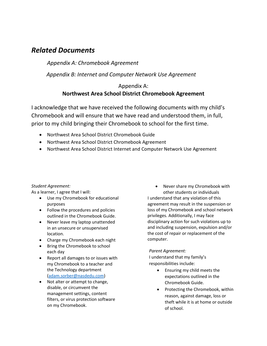# *Related Documents*

*Appendix A: Chromebook Agreement*

 *Appendix B: Internet and Computer Network Use Agreement*

## Appendix A: **Northwest Area School District Chromebook Agreement**

I acknowledge that we have received the following documents with my child's Chromebook and will ensure that we have read and understood them, in full, prior to my child bringing their Chromebook to school for the first time.

- Northwest Area School District Chromebook Guide
- Northwest Area School District Chromebook Agreement
- Northwest Area School District Internet and Computer Network Use Agreement

### *Student Agreement:*

As a learner, I agree that I will:

- Use my Chromebook for educational purposes
- Follow the procedures and policies outlined in the Chromebook Guide.
- Never leave my laptop unattended in an unsecure or unsupervised location.
- Charge my Chromebook each night
- Bring the Chromebook to school each day
- Report all damages to or issues with my Chromebook to a teacher and the Technology department [\(adam.sorber@nasdedu.com\)](mailto:adam.sorber@nasdedu.com)
- Not alter or attempt to change, disable, or circumvent the management settings, content filters, or virus protection software on my Chromebook.

• Never share my Chromebook with other students or individuals I understand that any violation of this agreement may result in the suspension or loss of my Chromebook and school network privileges. Additionally, I may face disciplinary action for such violations up to and including suspension, expulsion and/or the cost of repair or replacement of the computer.

### *Parent Agreement:*

I understand that my family's responsibilities include:

- Ensuring my child meets the expectations outlined in the Chromebook Guide.
- Protecting the Chromebook, within reason, against damage, loss or theft while it is at home or outside of school.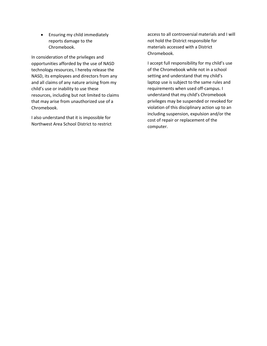• Ensuring my child immediately reports damage to the Chromebook.

In consideration of the privileges and opportunities afforded by the use of NASD technology resources, I hereby release the NASD, its employees and directors from any and all claims of any nature arising from my child's use or inability to use these resources, including but not limited to claims that may arise from unauthorized use of a Chromebook.

I also understand that it is impossible for Northwest Area School District to restrict access to all controversial materials and I will not hold the District responsible for materials accessed with a District Chromebook.

I accept full responsibility for my child's use of the Chromebook while not in a school setting and understand that my child's laptop use is subject to the same rules and requirements when used off-campus. I understand that my child's Chromebook privileges may be suspended or revoked for violation of this disciplinary action up to an including suspension, expulsion and/or the cost of repair or replacement of the computer.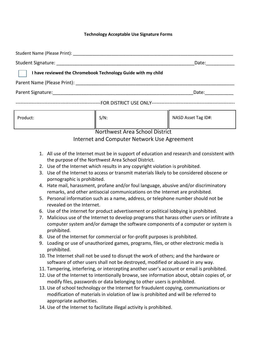#### **Technology Acceptable Use Signature Forms**

|                                                               | Date:                                                                                                                                                                                                                          |
|---------------------------------------------------------------|--------------------------------------------------------------------------------------------------------------------------------------------------------------------------------------------------------------------------------|
| I have reviewed the Chromebook Technology Guide with my child |                                                                                                                                                                                                                                |
|                                                               |                                                                                                                                                                                                                                |
|                                                               | Date: the control of the control of the control of the control of the control of the control of the control of the control of the control of the control of the control of the control of the control of the control of the co |
|                                                               |                                                                                                                                                                                                                                |

| Product: | $S/N$ : | NASD Asset Tag ID#: |
|----------|---------|---------------------|
|----------|---------|---------------------|

### Northwest Area School District

### Internet and Computer Network Use Agreement

- 1. All use of the Internet must be in support of education and research and consistent with the purpose of the Northwest Area School District.
- 2. Use of the Internet which results in any copyright violation is prohibited.
- 3. Use of the Internet to access or transmit materials likely to be considered obscene or pornographic is prohibited.
- 4. Hate mail, harassment, profane and/or foul language, abusive and/or discriminatory remarks, and other antisocial communications on the Internet are prohibited.
- 5. Personal information such as a name, address, or telephone number should not be revealed on the Internet.
- 6. Use of the internet for product advertisement or political lobbying is prohibited.
- 7. Malicious use of the Internet to develop programs that harass other users or infiltrate a computer system and/or damage the software components of a computer or system is prohibited.
- 8. Use of the Internet for commercial or for-profit purposes is prohibited.
- 9. Loading or use of unauthorized games, programs, files, or other electronic media is prohibited.
- 10. The Internet shall not be used to disrupt the work of others; and the hardware or software of other users shall not be destroyed, modified or abused in any way.
- 11. Tampering, interfering, or intercepting another user's account or email is prohibited.
- 12. Use of the Internet to intentionally browse, see information about, obtain copies of, or modify files, passwords or data belonging to other users is prohibited.
- 13. Use of school technology or the Internet for fraudulent copying, communications or modification of materials in violation of law is prohibited and will be referred to appropriate authorities.
- 14. Use of the Internet to facilitate illegal activity is prohibited.